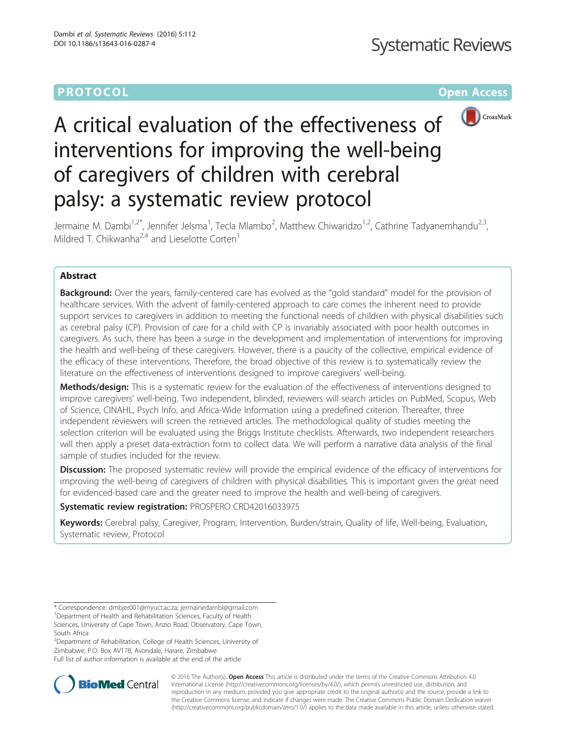# **PROTOCOL CONSUMING THE OPEN ACCESS**



# A critical evaluation of the effectiveness of interventions for improving the well-being of caregivers of children with cerebral palsy: a systematic review protocol

Jermaine M. Dambi<sup>1,2\*</sup>, Jennifer Jelsma<sup>1</sup>, Tecla Mlambo<sup>2</sup>, Matthew Chiwaridzo<sup>1,2</sup>, Cathrine Tadyanemhandu<sup>2,3</sup>, Mildred T. Chikwanha<sup>2,4</sup> and Lieselotte Corten<sup>1</sup>

# Abstract

**Background:** Over the years, family-centered care has evolved as the "gold standard" model for the provision of healthcare services. With the advent of family-centered approach to care comes the inherent need to provide support services to caregivers in addition to meeting the functional needs of children with physical disabilities such as cerebral palsy (CP). Provision of care for a child with CP is invariably associated with poor health outcomes in caregivers. As such, there has been a surge in the development and implementation of interventions for improving the health and well-being of these caregivers. However, there is a paucity of the collective, empirical evidence of the efficacy of these interventions. Therefore, the broad objective of this review is to systematically review the literature on the effectiveness of interventions designed to improve caregivers' well-being.

Methods/design: This is a systematic review for the evaluation of the effectiveness of interventions designed to improve caregivers' well-being. Two independent, blinded, reviewers will search articles on PubMed, Scopus, Web of Science, CINAHL, Psych Info, and Africa-Wide Information using a predefined criterion. Thereafter, three independent reviewers will screen the retrieved articles. The methodological quality of studies meeting the selection criterion will be evaluated using the Briggs Institute checklists. Afterwards, two independent researchers will then apply a preset data-extraction form to collect data. We will perform a narrative data analysis of the final sample of studies included for the review.

Discussion: The proposed systematic review will provide the empirical evidence of the efficacy of interventions for improving the well-being of caregivers of children with physical disabilities. This is important given the great need for evidenced-based care and the greater need to improve the health and well-being of caregivers.

Systematic review registration: PROSPERO [CRD42016033975](http://www.crd.york.ac.uk/prospero/register_new_review.asp)

Keywords: Cerebral palsy, Caregiver, Program, Intervention, Burden/strain, Quality of life, Well-being, Evaluation, Systematic review, Protocol

<sup>2</sup>Department of Rehabilitation, College of Health Sciences, University of Zimbabwe, P.O. Box AV178, Avondale, Harare, Zimbabwe Full list of author information is available at the end of the article



© 2016 The Author(s). Open Access This article is distributed under the terms of the Creative Commons Attribution 4.0 International License [\(http://creativecommons.org/licenses/by/4.0/](http://creativecommons.org/licenses/by/4.0/)), which permits unrestricted use, distribution, and reproduction in any medium, provided you give appropriate credit to the original author(s) and the source, provide a link to the Creative Commons license, and indicate if changes were made. The Creative Commons Public Domain Dedication waiver [\(http://creativecommons.org/publicdomain/zero/1.0/](http://creativecommons.org/publicdomain/zero/1.0/)) applies to the data made available in this article, unless otherwise stated.

<sup>\*</sup> Correspondence: [dmbjer001@myuct.ac.za;](mailto:dmbjer001@myuct.ac.za) [jermainedambi@gmail.com](mailto:jermainedambi@gmail.com) <sup>1</sup> <sup>1</sup> Department of Health and Rehabilitation Sciences, Faculty of Health Sciences, University of Cape Town, Anzio Road, Observatory, Cape Town, South Africa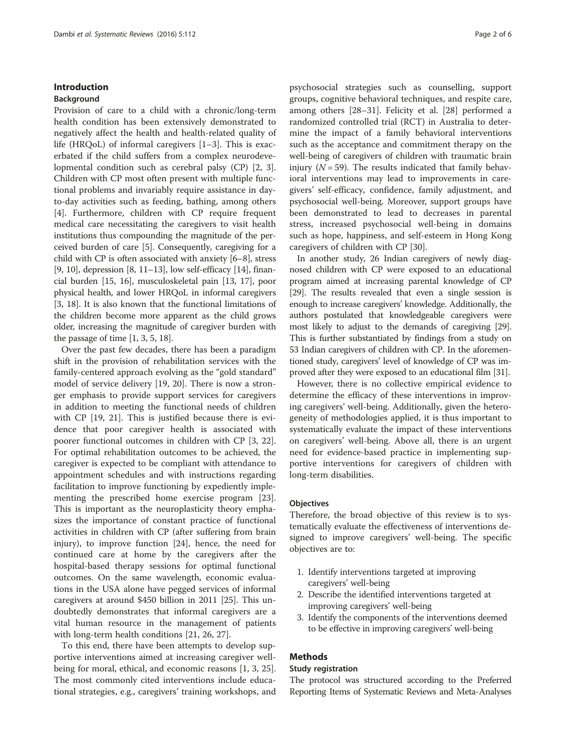#### Introduction

#### Background

Provision of care to a child with a chronic/long-term health condition has been extensively demonstrated to negatively affect the health and health-related quality of life (HRQoL) of informal caregivers [\[1](#page-4-0)–[3](#page-4-0)]. This is exacerbated if the child suffers from a complex neurodevelopmental condition such as cerebral palsy (CP) [[2, 3](#page-4-0)]. Children with CP most often present with multiple functional problems and invariably require assistance in dayto-day activities such as feeding, bathing, among others [[4\]](#page-4-0). Furthermore, children with CP require frequent medical care necessitating the caregivers to visit health institutions thus compounding the magnitude of the perceived burden of care [[5](#page-4-0)]. Consequently, caregiving for a child with CP is often associated with anxiety [\[6](#page-4-0)–[8](#page-4-0)], stress [[9, 10](#page-4-0)], depression [\[8](#page-4-0), [11](#page-4-0)–[13](#page-4-0)], low self-efficacy [\[14\]](#page-4-0), financial burden [\[15, 16\]](#page-4-0), musculoskeletal pain [\[13, 17](#page-4-0)], poor physical health, and lower HRQoL in informal caregivers [[3, 18\]](#page-4-0). It is also known that the functional limitations of the children become more apparent as the child grows older, increasing the magnitude of caregiver burden with the passage of time [[1, 3](#page-4-0), [5, 18](#page-4-0)].

Over the past few decades, there has been a paradigm shift in the provision of rehabilitation services with the family-centered approach evolving as the "gold standard" model of service delivery [\[19](#page-4-0), [20](#page-4-0)]. There is now a stronger emphasis to provide support services for caregivers in addition to meeting the functional needs of children with CP [\[19](#page-4-0), [21](#page-4-0)]. This is justified because there is evidence that poor caregiver health is associated with poorer functional outcomes in children with CP [[3, 22](#page-4-0)]. For optimal rehabilitation outcomes to be achieved, the caregiver is expected to be compliant with attendance to appointment schedules and with instructions regarding facilitation to improve functioning by expediently implementing the prescribed home exercise program [\[23](#page-4-0)]. This is important as the neuroplasticity theory emphasizes the importance of constant practice of functional activities in children with CP (after suffering from brain injury), to improve function [\[24](#page-5-0)], hence, the need for continued care at home by the caregivers after the hospital-based therapy sessions for optimal functional outcomes. On the same wavelength, economic evaluations in the USA alone have pegged services of informal caregivers at around \$450 billion in 2011 [[25\]](#page-5-0). This undoubtedly demonstrates that informal caregivers are a vital human resource in the management of patients with long-term health conditions [\[21](#page-4-0), [26, 27\]](#page-5-0).

To this end, there have been attempts to develop supportive interventions aimed at increasing caregiver wellbeing for moral, ethical, and economic reasons [\[1](#page-4-0), [3](#page-4-0), [25](#page-5-0)]. The most commonly cited interventions include educational strategies, e.g., caregivers' training workshops, and

psychosocial strategies such as counselling, support groups, cognitive behavioral techniques, and respite care, among others [[28](#page-5-0)–[31](#page-5-0)]. Felicity et al. [\[28\]](#page-5-0) performed a randomized controlled trial (RCT) in Australia to determine the impact of a family behavioral interventions such as the acceptance and commitment therapy on the well-being of caregivers of children with traumatic brain injury  $(N = 59)$ . The results indicated that family behavioral interventions may lead to improvements in caregivers' self-efficacy, confidence, family adjustment, and psychosocial well-being. Moreover, support groups have been demonstrated to lead to decreases in parental stress, increased psychosocial well-being in domains such as hope, happiness, and self-esteem in Hong Kong caregivers of children with CP [[30](#page-5-0)].

In another study, 26 Indian caregivers of newly diagnosed children with CP were exposed to an educational program aimed at increasing parental knowledge of CP [[29](#page-5-0)]. The results revealed that even a single session is enough to increase caregivers' knowledge. Additionally, the authors postulated that knowledgeable caregivers were most likely to adjust to the demands of caregiving [\[29](#page-5-0)]. This is further substantiated by findings from a study on 53 Indian caregivers of children with CP. In the aforementioned study, caregivers' level of knowledge of CP was improved after they were exposed to an educational film [\[31\]](#page-5-0).

However, there is no collective empirical evidence to determine the efficacy of these interventions in improving caregivers' well-being. Additionally, given the heterogeneity of methodologies applied, it is thus important to systematically evaluate the impact of these interventions on caregivers' well-being. Above all, there is an urgent need for evidence-based practice in implementing supportive interventions for caregivers of children with long-term disabilities.

#### **Objectives**

Therefore, the broad objective of this review is to systematically evaluate the effectiveness of interventions designed to improve caregivers' well-being. The specific objectives are to:

- 1. Identify interventions targeted at improving caregivers' well-being
- 2. Describe the identified interventions targeted at improving caregivers' well-being
- 3. Identify the components of the interventions deemed to be effective in improving caregivers' well-being

# Methods

### Study registration

The protocol was structured according to the Preferred Reporting Items of Systematic Reviews and Meta-Analyses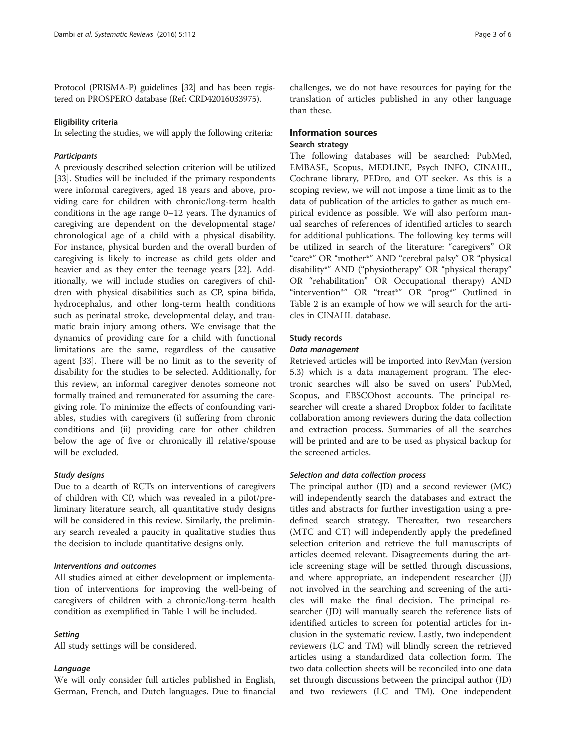Protocol (PRISMA-P) guidelines [[32](#page-5-0)] and has been registered on PROSPERO database (Ref: CRD42016033975).

#### Eligibility criteria

In selecting the studies, we will apply the following criteria:

#### **Participants**

A previously described selection criterion will be utilized [[33\]](#page-5-0). Studies will be included if the primary respondents were informal caregivers, aged 18 years and above, providing care for children with chronic/long-term health conditions in the age range 0–12 years. The dynamics of caregiving are dependent on the developmental stage/ chronological age of a child with a physical disability. For instance, physical burden and the overall burden of caregiving is likely to increase as child gets older and heavier and as they enter the teenage years [\[22\]](#page-4-0). Additionally, we will include studies on caregivers of children with physical disabilities such as CP, spina bifida, hydrocephalus, and other long-term health conditions such as perinatal stroke, developmental delay, and traumatic brain injury among others. We envisage that the dynamics of providing care for a child with functional limitations are the same, regardless of the causative agent [\[33](#page-5-0)]. There will be no limit as to the severity of disability for the studies to be selected. Additionally, for this review, an informal caregiver denotes someone not formally trained and remunerated for assuming the caregiving role. To minimize the effects of confounding variables, studies with caregivers (i) suffering from chronic conditions and (ii) providing care for other children below the age of five or chronically ill relative/spouse will be excluded.

#### Study designs

Due to a dearth of RCTs on interventions of caregivers of children with CP, which was revealed in a pilot/preliminary literature search, all quantitative study designs will be considered in this review. Similarly, the preliminary search revealed a paucity in qualitative studies thus the decision to include quantitative designs only.

#### Interventions and outcomes

All studies aimed at either development or implementation of interventions for improving the well-being of caregivers of children with a chronic/long-term health condition as exemplified in Table [1](#page-3-0) will be included.

#### **Setting**

All study settings will be considered.

#### Language

We will only consider full articles published in English, German, French, and Dutch languages. Due to financial challenges, we do not have resources for paying for the translation of articles published in any other language than these.

# Information sources Search strategy

The following databases will be searched: PubMed, EMBASE, Scopus, MEDLINE, Psych INFO, CINAHL, Cochrane library, PEDro, and OT seeker. As this is a scoping review, we will not impose a time limit as to the data of publication of the articles to gather as much empirical evidence as possible. We will also perform manual searches of references of identified articles to search for additional publications. The following key terms will be utilized in search of the literature: "caregivers" OR "care\*" OR "mother\*" AND "cerebral palsy" OR "physical disability\*" AND ("physiotherapy" OR "physical therapy" OR "rehabilitation" OR Occupational therapy) AND "intervention\*" OR "treat\*" OR "prog\*" Outlined in Table [2](#page-3-0) is an example of how we will search for the articles in CINAHL database.

# Study records

### Data management

Retrieved articles will be imported into RevMan (version 5.3) which is a data management program. The electronic searches will also be saved on users' PubMed, Scopus, and EBSCOhost accounts. The principal researcher will create a shared Dropbox folder to facilitate collaboration among reviewers during the data collection and extraction process. Summaries of all the searches will be printed and are to be used as physical backup for the screened articles.

#### Selection and data collection process

The principal author (JD) and a second reviewer (MC) will independently search the databases and extract the titles and abstracts for further investigation using a predefined search strategy. Thereafter, two researchers (MTC and CT) will independently apply the predefined selection criterion and retrieve the full manuscripts of articles deemed relevant. Disagreements during the article screening stage will be settled through discussions, and where appropriate, an independent researcher (JJ) not involved in the searching and screening of the articles will make the final decision. The principal researcher (JD) will manually search the reference lists of identified articles to screen for potential articles for inclusion in the systematic review. Lastly, two independent reviewers (LC and TM) will blindly screen the retrieved articles using a standardized data collection form. The two data collection sheets will be reconciled into one data set through discussions between the principal author (JD) and two reviewers (LC and TM). One independent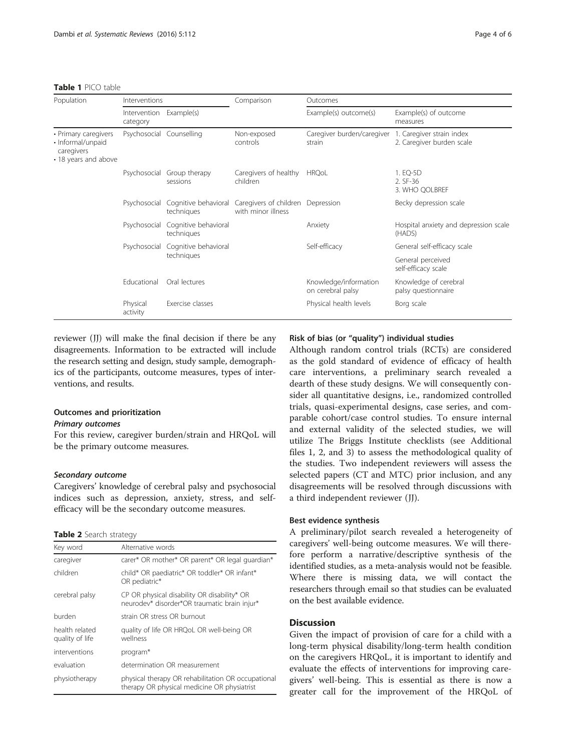#### <span id="page-3-0"></span>Table 1 PICO table

| Population                                                                      | Interventions                       |                                    | Comparison                                                                   | Outcomes                                   |                                                        |
|---------------------------------------------------------------------------------|-------------------------------------|------------------------------------|------------------------------------------------------------------------------|--------------------------------------------|--------------------------------------------------------|
|                                                                                 | Intervention Example(s)<br>category |                                    |                                                                              | Example(s) outcome(s)                      | Example(s) of outcome<br>measures                      |
| • Primary caregivers<br>· Informal/unpaid<br>caregivers<br>• 18 years and above | Psychosocial Counselling            |                                    | Non-exposed<br>controls                                                      | Caregiver burden/caregiver<br>strain       | 1. Caregiver strain index<br>2. Caregiver burden scale |
|                                                                                 | Psychosocial                        | Group therapy<br>sessions          | Caregivers of healthy<br>children                                            | <b>HRQoL</b>                               | 1. EQ-5D<br>2. SF-36<br>3. WHO QOLBREF                 |
|                                                                                 | Psychosocial                        | techniques                         | Cognitive behavioral Caregivers of children Depression<br>with minor illness |                                            | Becky depression scale                                 |
|                                                                                 | Psychosocial                        | Cognitive behavioral<br>techniques |                                                                              | Anxiety                                    | Hospital anxiety and depression scale<br>(HADS)        |
|                                                                                 | Psychosocial                        | Cognitive behavioral<br>techniques |                                                                              | Self-efficacy                              | General self-efficacy scale                            |
|                                                                                 |                                     |                                    |                                                                              |                                            | General perceived<br>self-efficacy scale               |
|                                                                                 | Educational                         | Oral lectures                      |                                                                              | Knowledge/information<br>on cerebral palsy | Knowledge of cerebral<br>palsy questionnaire           |
|                                                                                 | Physical<br>activity                | Exercise classes                   |                                                                              | Physical health levels                     | Borg scale                                             |

reviewer (JJ) will make the final decision if there be any disagreements. Information to be extracted will include the research setting and design, study sample, demographics of the participants, outcome measures, types of interventions, and results.

# Outcomes and prioritization

# Primary outcomes

For this review, caregiver burden/strain and HRQoL will be the primary outcome measures.

#### Secondary outcome

Caregivers' knowledge of cerebral palsy and psychosocial indices such as depression, anxiety, stress, and selfefficacy will be the secondary outcome measures.

#### Table 2 Search strategy

| Key word                          | Alternative words                                                                                 |  |  |
|-----------------------------------|---------------------------------------------------------------------------------------------------|--|--|
| caregiver                         | carer* OR mother* OR parent* OR legal quardian*                                                   |  |  |
| children                          | child* OR paediatric* OR toddler* OR infant*<br>OR pediatric*                                     |  |  |
| cerebral palsy                    | CP OR physical disability OR disability* OR<br>neurodev* disorder*OR traumatic brain injur*       |  |  |
| burden                            | strain OR stress OR burnout                                                                       |  |  |
| health related<br>quality of life | quality of life OR HRQoL OR well-being OR<br>wellness                                             |  |  |
| interventions                     | program*                                                                                          |  |  |
| evaluation                        | determination OR measurement                                                                      |  |  |
| physiotherapy                     | physical therapy OR rehabilitation OR occupational<br>therapy OR physical medicine OR physiatrist |  |  |

# Risk of bias (or "quality") individual studies

Although random control trials (RCTs) are considered as the gold standard of evidence of efficacy of health care interventions, a preliminary search revealed a dearth of these study designs. We will consequently consider all quantitative designs, i.e., randomized controlled trials, quasi-experimental designs, case series, and comparable cohort/case control studies. To ensure internal and external validity of the selected studies, we will utilize The Briggs Institute checklists (see Additional files [1](#page-4-0), [2](#page-4-0), and [3\)](#page-4-0) to assess the methodological quality of the studies. Two independent reviewers will assess the selected papers (CT and MTC) prior inclusion, and any disagreements will be resolved through discussions with a third independent reviewer (JJ).

#### Best evidence synthesis

A preliminary/pilot search revealed a heterogeneity of caregivers' well-being outcome measures. We will therefore perform a narrative/descriptive synthesis of the identified studies, as a meta-analysis would not be feasible. Where there is missing data, we will contact the researchers through email so that studies can be evaluated on the best available evidence.

### **Discussion**

Given the impact of provision of care for a child with a long-term physical disability/long-term health condition on the caregivers HRQoL, it is important to identify and evaluate the effects of interventions for improving caregivers' well-being. This is essential as there is now a greater call for the improvement of the HRQoL of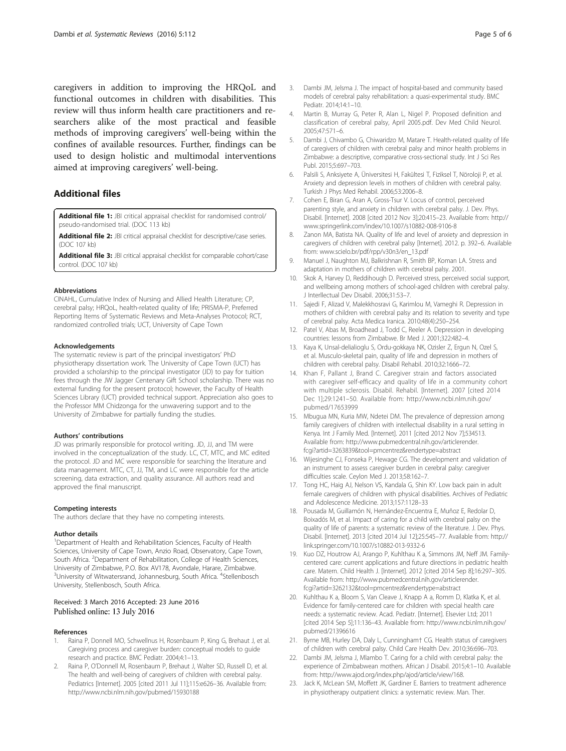<span id="page-4-0"></span>caregivers in addition to improving the HRQoL and functional outcomes in children with disabilities. This review will thus inform health care practitioners and researchers alike of the most practical and feasible methods of improving caregivers' well-being within the confines of available resources. Further, findings can be used to design holistic and multimodal interventions aimed at improving caregivers' well-being.

# Additional files

[Additional file 1:](dx.doi.org/10.1186/s13643-016-0287-4) JBI critical appraisal checklist for randomised control/ pseudo-randomised trial. (DOC 113 kb)

[Additional file 2:](dx.doi.org/10.1186/s13643-016-0287-4) JBI critical appraisal checklist for descriptive/case series. (DOC 107 kb)

[Additional file 3:](dx.doi.org/10.1186/s13643-016-0287-4) JBI critical appraisal checklist for comparable cohort/case control. (DOC 107 kb)

#### Abbreviations

CINAHL, Cumulative Index of Nursing and Allied Health Literature; CP, cerebral palsy; HRQoL, health-related quality of life; PRISMA-P, Preferred Reporting Items of Systematic Reviews and Meta-Analyses Protocol; RCT, randomized controlled trials; UCT, University of Cape Town

#### Acknowledgements

The systematic review is part of the principal investigators' PhD physiotherapy dissertation work. The University of Cape Town (UCT) has provided a scholarship to the principal investigator (JD) to pay for tuition fees through the JW Jagger Centenary Gift School scholarship. There was no external funding for the present protocol; however, the Faculty of Health Sciences Library (UCT) provided technical support. Appreciation also goes to the Professor MM Chidzonga for the unwavering support and to the University of Zimbabwe for partially funding the studies.

#### Authors' contributions

JD was primarily responsible for protocol writing. JD, JJ, and TM were involved in the conceptualization of the study. LC, CT, MTC, and MC edited the protocol. JD and MC were responsible for searching the literature and data management. MTC, CT, JJ, TM, and LC were responsible for the article screening, data extraction, and quality assurance. All authors read and approved the final manuscript.

#### Competing interests

The authors declare that they have no competing interests.

#### Author details

<sup>1</sup>Department of Health and Rehabilitation Sciences, Faculty of Health Sciences, University of Cape Town, Anzio Road, Observatory, Cape Town, South Africa. <sup>2</sup>Department of Rehabilitation, College of Health Sciences, University of Zimbabwe, P.O. Box AV178, Avondale, Harare, Zimbabwe. <sup>3</sup>University of Witwatersrand, Johannesburg, South Africa. <sup>4</sup>Stellenbosch University, Stellenbosch, South Africa.

#### Received: 3 March 2016 Accepted: 23 June 2016 Published online: 13 July 2016

#### References

- 1. Raina P, Donnell MO, Schwellnus H, Rosenbaum P, King G, Brehaut J, et al. Caregiving process and caregiver burden: conceptual models to guide research and practice. BMC Pediatr. 2004;4:1–13.
- Raina P, O'Donnell M, Rosenbaum P, Brehaut J, Walter SD, Russell D, et al. The health and well-being of caregivers of children with cerebral palsy. Pediatrics [Internet]. 2005 [cited 2011 Jul 11];115:e626-36. Available from: <http://www.ncbi.nlm.nih.gov/pubmed/15930188>
- 3. Dambi JM, Jelsma J. The impact of hospital-based and community based models of cerebral palsy rehabilitation: a quasi-experimental study. BMC Pediatr. 2014;14:1–10.
- Martin B, Murray G, Peter R, Alan L, Nigel P. Proposed definition and classification of cerebral palsy, April 2005.pdf. Dev Med Child Neurol. 2005;47:571–6.
- Dambi J, Chivambo G, Chiwaridzo M, Matare T. Health-related quality of life of caregivers of children with cerebral palsy and minor health problems in Zimbabwe: a descriptive, comparative cross-sectional study. Int J Sci Res Publ. 2015;5:697–703.
- 6. Palsili S, Anksiyete A, Üniversitesi H, Fakültesi T, Fiziksel T, Nöroloji P, et al. Anxiety and depression levels in mothers of children with cerebral palsy. Turkish J Phys Med Rehabil. 2006;53:2006–8.
- 7. Cohen E, Biran G, Aran A, Gross-Tsur V. Locus of control, perceived parenting style, and anxiety in children with cerebral palsy. J. Dev. Phys. Disabil. [Internet]. 2008 [cited 2012 Nov 3];20:415–23. Available from: [http://](http://www.springerlink.com/index/10.1007/s10882-008-9106-8) [www.springerlink.com/index/10.1007/s10882-008-9106-8](http://www.springerlink.com/index/10.1007/s10882-008-9106-8)
- 8. Zanon MA, Batista NA. Quality of life and level of anxiety and depression in caregivers of children with cerebral palsy [Internet]. 2012. p. 392–6. Available from: [www.scielo.br/pdf/rpp/v30n3/en\\_13.pdf](http://www.scielo.br/pdf/rpp/v30n3/en_13.pdf)
- 9. Manuel J, Naughton MJ, Balkrishnan R, Smith BP, Koman LA. Stress and adaptation in mothers of children with cerebral palsy. 2001.
- 10. Skok A, Harvey D, Reddihough D. Perceived stress, perceived social support, and wellbeing among mothers of school-aged children with cerebral palsy. J Interllectual Dev Disabil. 2006;31:53–7.
- 11. Sajedi F, Alizad V, Malekkhosravi G, Karimlou M, Vameghi R. Depression in mothers of children with cerebral palsy and its relation to severity and type of cerebral palsy. Acta Medica Iranica. 2010;48(4):250–254.
- 12. Patel V, Abas M, Broadhead J, Todd C, Reeler A. Depression in developing countries: lessons from Zimbabwe. Br Med J. 2001;322:482–4.
- 13. Kaya K, Unsal-delialioglu S, Ordu-gokkaya NK, Ozisler Z, Ergun N, Ozel S, et al. Musculo-skeletal pain, quality of life and depression in mothers of children with cerebral palsy. Disabil Rehabil. 2010;32:1666–72.
- 14. Khan F, Pallant J, Brand C. Caregiver strain and factors associated with caregiver self-efficacy and quality of life in a community cohort with multiple sclerosis. Disabil. Rehabil. [Internet]. 2007 [cited 2014 Dec 1];29:1241–50. Available from: [http://www.ncbi.nlm.nih.gov/](http://www.ncbi.nlm.nih.gov/pubmed/17653999) [pubmed/17653999](http://www.ncbi.nlm.nih.gov/pubmed/17653999)
- 15. Mbugua MN, Kuria MW, Ndetei DM. The prevalence of depression among family caregivers of children with intellectual disability in a rural setting in Kenya. Int J Family Med. [Internet]. 2011 [cited 2012 Nov 7];534513. Available from: [http://www.pubmedcentral.nih.gov/articlerender.](http://www.pubmedcentral.nih.gov/articlerender.fcgi?artid=3263839&tool=pmcentrez&rendertype=abstract) [fcgi?artid=3263839&tool=pmcentrez&rendertype=abstract](http://www.pubmedcentral.nih.gov/articlerender.fcgi?artid=3263839&tool=pmcentrez&rendertype=abstract)
- 16. Wijesinghe CJ, Fonseka P, Hewage CG. The development and validation of an instrument to assess caregiver burden in cerebral palsy: caregiver difficulties scale. Ceylon Med J. 2013;58:162–7.
- 17. Tong HC, Haig AJ, Nelson VS, Kandala G, Shin KY. Low back pain in adult female caregivers of children with physical disabilities. Archives of Pediatric and Adolescence Medicine. 2013;157:1128–33
- 18. Pousada M, Guillamón N, Hernández-Encuentra E, Muñoz E, Redolar D, Boixadós M, et al. Impact of caring for a child with cerebral palsy on the quality of life of parents: a systematic review of the literature. J. Dev. Phys. Disabil. [Internet]. 2013 [cited 2014 Jul 12];25:545–77. Available from: [http://](http://link.springer.com/10.1007/s10882-013-9332-6) [link.springer.com/10.1007/s10882-013-9332-6](http://link.springer.com/10.1007/s10882-013-9332-6)
- 19. Kuo DZ, Houtrow AJ, Arango P, Kuhlthau K a, Simmons JM, Neff JM. Familycentered care: current applications and future directions in pediatric health care. Matern. Child Health J. [Internet]. 2012 [cited 2014 Sep 8];16:297–305. Available from: [http://www.pubmedcentral.nih.gov/articlerender.](http://www.pubmedcentral.nih.gov/articlerender.fcgi?artid=3262132&tool=pmcentrez&rendertype=abstract) [fcgi?artid=3262132&tool=pmcentrez&rendertype=abstract](http://www.pubmedcentral.nih.gov/articlerender.fcgi?artid=3262132&tool=pmcentrez&rendertype=abstract)
- 20. Kuhlthau K a, Bloom S, Van Cleave J, Knapp A a, Romm D, Klatka K, et al. Evidence for family-centered care for children with special health care needs: a systematic review. Acad. Pediatr. [Internet]. Elsevier Ltd; 2011 [cited 2014 Sep 5];11:136–43. Available from: [http://www.ncbi.nlm.nih.gov/](http://www.ncbi.nlm.nih.gov/pubmed/21396616) [pubmed/21396616](http://www.ncbi.nlm.nih.gov/pubmed/21396616)
- 21. Byrne MB, Hurley DA, Daly L, Cunningham† CG. Health status of caregivers of children with cerebral palsy. Child Care Health Dev. 2010;36:696–703.
- 22. Dambi JM, Jelsma J, Mlambo T. Caring for a child with cerebral palsy: the experience of Zimbabwean mothers. African J Disabil. 2015;4:1–10. Available from: [http://www.ajod.org/index.php/ajod/article/view/168.](http://www.ajod.org/index.php/ajod/article/view/168)
- 23. Jack K, McLean SM, Moffett JK, Gardiner E. Barriers to treatment adherence in physiotherapy outpatient clinics: a systematic review. Man. Ther.